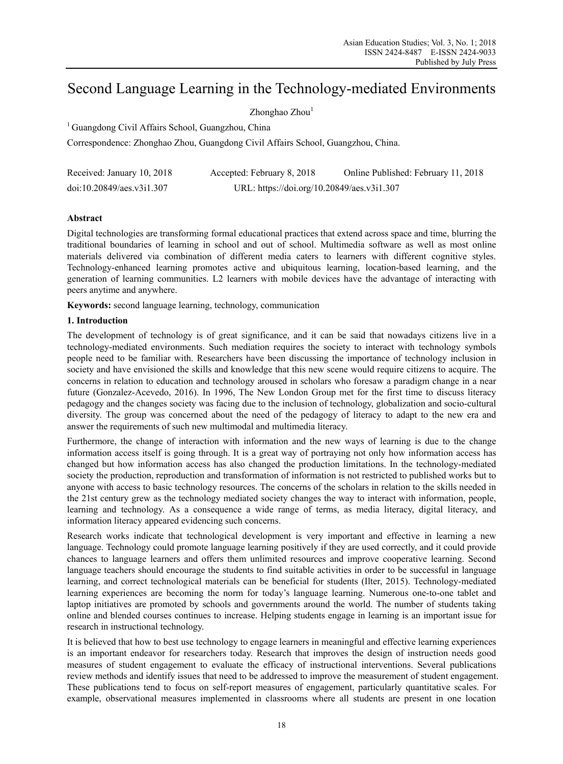# Second Language Learning in the Technology-mediated Environments

Zhonghao Zhou<sup>1</sup>

1 Guangdong Civil Affairs School, Guangzhou, China

Correspondence: Zhonghao Zhou, Guangdong Civil Affairs School, Guangzhou, China.

| Received: January 10, 2018 | Accepted: February 8, 2018                 | Online Published: February 11, 2018 |
|----------------------------|--------------------------------------------|-------------------------------------|
| doi:10.20849/aes.v311.307  | URL: https://doi.org/10.20849/aes.v3i1.307 |                                     |

# **Abstract**

Digital technologies are transforming formal educational practices that extend across space and time, blurring the traditional boundaries of learning in school and out of school. Multimedia software as well as most online materials delivered via combination of different media caters to learners with different cognitive styles. Technology-enhanced learning promotes active and ubiquitous learning, location-based learning, and the generation of learning communities. L2 learners with mobile devices have the advantage of interacting with peers anytime and anywhere.

**Keywords:** second language learning, technology, communication

## **1. Introduction**

The development of technology is of great significance, and it can be said that nowadays citizens live in a technology-mediated environments. Such mediation requires the society to interact with technology symbols people need to be familiar with. Researchers have been discussing the importance of technology inclusion in society and have envisioned the skills and knowledge that this new scene would require citizens to acquire. The concerns in relation to education and technology aroused in scholars who foresaw a paradigm change in a near future (Gonzalez-Acevedo, 2016). In 1996, The New London Group met for the first time to discuss literacy pedagogy and the changes society was facing due to the inclusion of technology, globalization and socio-cultural diversity. The group was concerned about the need of the pedagogy of literacy to adapt to the new era and answer the requirements of such new multimodal and multimedia literacy.

Furthermore, the change of interaction with information and the new ways of learning is due to the change information access itself is going through. It is a great way of portraying not only how information access has changed but how information access has also changed the production limitations. In the technology-mediated society the production, reproduction and transformation of information is not restricted to published works but to anyone with access to basic technology resources. The concerns of the scholars in relation to the skills needed in the 21st century grew as the technology mediated society changes the way to interact with information, people, learning and technology. As a consequence a wide range of terms, as media literacy, digital literacy, and information literacy appeared evidencing such concerns.

Research works indicate that technological development is very important and effective in learning a new language. Technology could promote language learning positively if they are used correctly, and it could provide chances to language learners and offers them unlimited resources and improve cooperative learning. Second language teachers should encourage the students to find suitable activities in order to be successful in language learning, and correct technological materials can be beneficial for students (Ilter, 2015). Technology-mediated learning experiences are becoming the norm for today's language learning. Numerous one-to-one tablet and laptop initiatives are promoted by schools and governments around the world. The number of students taking online and blended courses continues to increase. Helping students engage in learning is an important issue for research in instructional technology.

It is believed that how to best use technology to engage learners in meaningful and effective learning experiences is an important endeavor for researchers today. Research that improves the design of instruction needs good measures of student engagement to evaluate the efficacy of instructional interventions. Several publications review methods and identify issues that need to be addressed to improve the measurement of student engagement. These publications tend to focus on self-report measures of engagement, particularly quantitative scales. For example, observational measures implemented in classrooms where all students are present in one location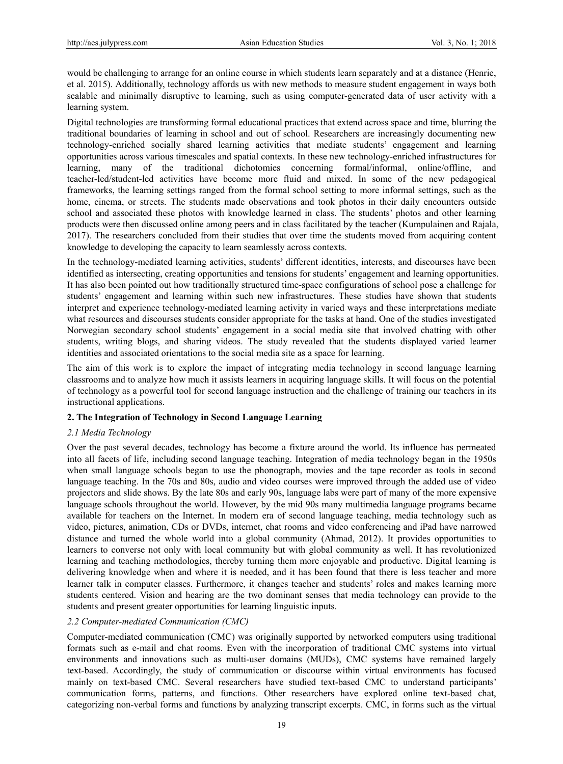would be challenging to arrange for an online course in which students learn separately and at a distance (Henrie, et al. 2015). Additionally, technology affords us with new methods to measure student engagement in ways both scalable and minimally disruptive to learning, such as using computer-generated data of user activity with a learning system.

Digital technologies are transforming formal educational practices that extend across space and time, blurring the traditional boundaries of learning in school and out of school. Researchers are increasingly documenting new technology-enriched socially shared learning activities that mediate students' engagement and learning opportunities across various timescales and spatial contexts. In these new technology-enriched infrastructures for learning, many of the traditional dichotomies concerning formal/informal, online/offline, and teacher-led/student-led activities have become more fluid and mixed. In some of the new pedagogical frameworks, the learning settings ranged from the formal school setting to more informal settings, such as the home, cinema, or streets. The students made observations and took photos in their daily encounters outside school and associated these photos with knowledge learned in class. The students' photos and other learning products were then discussed online among peers and in class facilitated by the teacher (Kumpulainen and Rajala, 2017). The researchers concluded from their studies that over time the students moved from acquiring content knowledge to developing the capacity to learn seamlessly across contexts.

In the technology-mediated learning activities, students' different identities, interests, and discourses have been identified as intersecting, creating opportunities and tensions for students' engagement and learning opportunities. It has also been pointed out how traditionally structured time-space configurations of school pose a challenge for students' engagement and learning within such new infrastructures. These studies have shown that students interpret and experience technology-mediated learning activity in varied ways and these interpretations mediate what resources and discourses students consider appropriate for the tasks at hand. One of the studies investigated Norwegian secondary school students' engagement in a social media site that involved chatting with other students, writing blogs, and sharing videos. The study revealed that the students displayed varied learner identities and associated orientations to the social media site as a space for learning.

The aim of this work is to explore the impact of integrating media technology in second language learning classrooms and to analyze how much it assists learners in acquiring language skills. It will focus on the potential of technology as a powerful tool for second language instruction and the challenge of training our teachers in its instructional applications.

#### **2. The Integration of Technology in Second Language Learning**

#### *2.1 Media Technology*

Over the past several decades, technology has become a fixture around the world. Its influence has permeated into all facets of life, including second language teaching. Integration of media technology began in the 1950s when small language schools began to use the phonograph, movies and the tape recorder as tools in second language teaching. In the 70s and 80s, audio and video courses were improved through the added use of video projectors and slide shows. By the late 80s and early 90s, language labs were part of many of the more expensive language schools throughout the world. However, by the mid 90s many multimedia language programs became available for teachers on the Internet. In modern era of second language teaching, media technology such as video, pictures, animation, CDs or DVDs, internet, chat rooms and video conferencing and iPad have narrowed distance and turned the whole world into a global community (Ahmad, 2012). It provides opportunities to learners to converse not only with local community but with global community as well. It has revolutionized learning and teaching methodologies, thereby turning them more enjoyable and productive. Digital learning is delivering knowledge when and where it is needed, and it has been found that there is less teacher and more learner talk in computer classes. Furthermore, it changes teacher and students' roles and makes learning more students centered. Vision and hearing are the two dominant senses that media technology can provide to the students and present greater opportunities for learning linguistic inputs.

# *2.2 Computer-mediated Communication (CMC)*

Computer-mediated communication (CMC) was originally supported by networked computers using traditional formats such as e-mail and chat rooms. Even with the incorporation of traditional CMC systems into virtual environments and innovations such as multi-user domains (MUDs), CMC systems have remained largely text-based. Accordingly, the study of communication or discourse within virtual environments has focused mainly on text-based CMC. Several researchers have studied text-based CMC to understand participants' communication forms, patterns, and functions. Other researchers have explored online text-based chat, categorizing non-verbal forms and functions by analyzing transcript excerpts. CMC, in forms such as the virtual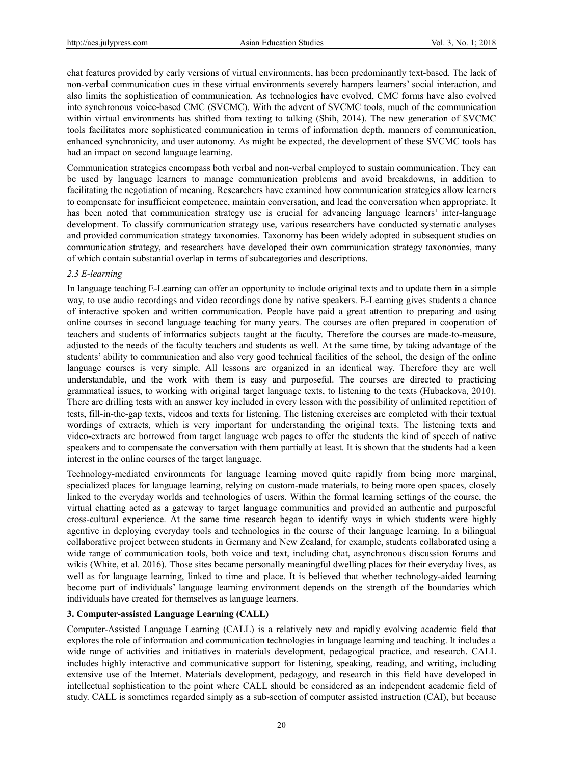chat features provided by early versions of virtual environments, has been predominantly text-based. The lack of non-verbal communication cues in these virtual environments severely hampers learners' social interaction, and also limits the sophistication of communication. As technologies have evolved, CMC forms have also evolved into synchronous voice-based CMC (SVCMC). With the advent of SVCMC tools, much of the communication within virtual environments has shifted from texting to talking (Shih, 2014). The new generation of SVCMC tools facilitates more sophisticated communication in terms of information depth, manners of communication, enhanced synchronicity, and user autonomy. As might be expected, the development of these SVCMC tools has had an impact on second language learning.

Communication strategies encompass both verbal and non-verbal employed to sustain communication. They can be used by language learners to manage communication problems and avoid breakdowns, in addition to facilitating the negotiation of meaning. Researchers have examined how communication strategies allow learners to compensate for insufficient competence, maintain conversation, and lead the conversation when appropriate. It has been noted that communication strategy use is crucial for advancing language learners' inter-language development. To classify communication strategy use, various researchers have conducted systematic analyses and provided communication strategy taxonomies. Taxonomy has been widely adopted in subsequent studies on communication strategy, and researchers have developed their own communication strategy taxonomies, many of which contain substantial overlap in terms of subcategories and descriptions.

## *2.3 E-learning*

In language teaching E-Learning can offer an opportunity to include original texts and to update them in a simple way, to use audio recordings and video recordings done by native speakers. E-Learning gives students a chance of interactive spoken and written communication. People have paid a great attention to preparing and using online courses in second language teaching for many years. The courses are often prepared in cooperation of teachers and students of informatics subjects taught at the faculty. Therefore the courses are made-to-measure, adjusted to the needs of the faculty teachers and students as well. At the same time, by taking advantage of the students' ability to communication and also very good technical facilities of the school, the design of the online language courses is very simple. All lessons are organized in an identical way. Therefore they are well understandable, and the work with them is easy and purposeful. The courses are directed to practicing grammatical issues, to working with original target language texts, to listening to the texts (Hubackova, 2010). There are drilling tests with an answer key included in every lesson with the possibility of unlimited repetition of tests, fill-in-the-gap texts, videos and texts for listening. The listening exercises are completed with their textual wordings of extracts, which is very important for understanding the original texts. The listening texts and video-extracts are borrowed from target language web pages to offer the students the kind of speech of native speakers and to compensate the conversation with them partially at least. It is shown that the students had a keen interest in the online courses of the target language.

Technology-mediated environments for language learning moved quite rapidly from being more marginal, specialized places for language learning, relying on custom-made materials, to being more open spaces, closely linked to the everyday worlds and technologies of users. Within the formal learning settings of the course, the virtual chatting acted as a gateway to target language communities and provided an authentic and purposeful cross-cultural experience. At the same time research began to identify ways in which students were highly agentive in deploying everyday tools and technologies in the course of their language learning. In a bilingual collaborative project between students in Germany and New Zealand, for example, students collaborated using a wide range of communication tools, both voice and text, including chat, asynchronous discussion forums and wikis (White, et al. 2016). Those sites became personally meaningful dwelling places for their everyday lives, as well as for language learning, linked to time and place. It is believed that whether technology-aided learning become part of individuals' language learning environment depends on the strength of the boundaries which individuals have created for themselves as language learners.

# **3. Computer-assisted Language Learning (CALL)**

Computer-Assisted Language Learning (CALL) is a relatively new and rapidly evolving academic field that explores the role of information and communication technologies in language learning and teaching. It includes a wide range of activities and initiatives in materials development, pedagogical practice, and research. CALL includes highly interactive and communicative support for listening, speaking, reading, and writing, including extensive use of the Internet. Materials development, pedagogy, and research in this field have developed in intellectual sophistication to the point where CALL should be considered as an independent academic field of study. CALL is sometimes regarded simply as a sub-section of computer assisted instruction (CAI), but because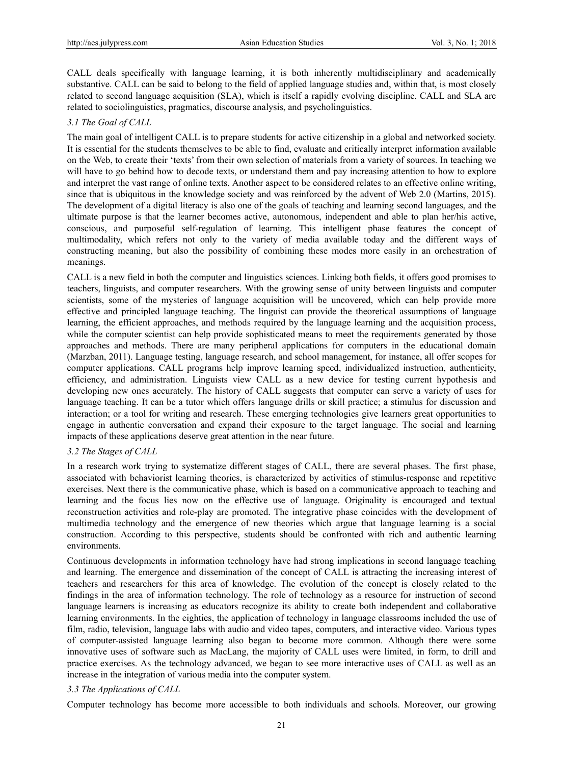CALL deals specifically with language learning, it is both inherently multidisciplinary and academically substantive. CALL can be said to belong to the field of applied language studies and, within that, is most closely related to second language acquisition (SLA), which is itself a rapidly evolving discipline. CALL and SLA are related to sociolinguistics, pragmatics, discourse analysis, and psycholinguistics.

## *3.1 The Goal of CALL*

The main goal of intelligent CALL is to prepare students for active citizenship in a global and networked society. It is essential for the students themselves to be able to find, evaluate and critically interpret information available on the Web, to create their 'texts' from their own selection of materials from a variety of sources. In teaching we will have to go behind how to decode texts, or understand them and pay increasing attention to how to explore and interpret the vast range of online texts. Another aspect to be considered relates to an effective online writing, since that is ubiquitous in the knowledge society and was reinforced by the advent of Web 2.0 (Martins, 2015). The development of a digital literacy is also one of the goals of teaching and learning second languages, and the ultimate purpose is that the learner becomes active, autonomous, independent and able to plan her/his active, conscious, and purposeful self-regulation of learning. This intelligent phase features the concept of multimodality, which refers not only to the variety of media available today and the different ways of constructing meaning, but also the possibility of combining these modes more easily in an orchestration of meanings.

CALL is a new field in both the computer and linguistics sciences. Linking both fields, it offers good promises to teachers, linguists, and computer researchers. With the growing sense of unity between linguists and computer scientists, some of the mysteries of language acquisition will be uncovered, which can help provide more effective and principled language teaching. The linguist can provide the theoretical assumptions of language learning, the efficient approaches, and methods required by the language learning and the acquisition process, while the computer scientist can help provide sophisticated means to meet the requirements generated by those approaches and methods. There are many peripheral applications for computers in the educational domain (Marzban, 2011). Language testing, language research, and school management, for instance, all offer scopes for computer applications. CALL programs help improve learning speed, individualized instruction, authenticity, efficiency, and administration. Linguists view CALL as a new device for testing current hypothesis and developing new ones accurately. The history of CALL suggests that computer can serve a variety of uses for language teaching. It can be a tutor which offers language drills or skill practice; a stimulus for discussion and interaction; or a tool for writing and research. These emerging technologies give learners great opportunities to engage in authentic conversation and expand their exposure to the target language. The social and learning impacts of these applications deserve great attention in the near future.

## *3.2 The Stages of CALL*

In a research work trying to systematize different stages of CALL, there are several phases. The first phase, associated with behaviorist learning theories, is characterized by activities of stimulus-response and repetitive exercises. Next there is the communicative phase, which is based on a communicative approach to teaching and learning and the focus lies now on the effective use of language. Originality is encouraged and textual reconstruction activities and role-play are promoted. The integrative phase coincides with the development of multimedia technology and the emergence of new theories which argue that language learning is a social construction. According to this perspective, students should be confronted with rich and authentic learning environments.

Continuous developments in information technology have had strong implications in second language teaching and learning. The emergence and dissemination of the concept of CALL is attracting the increasing interest of teachers and researchers for this area of knowledge. The evolution of the concept is closely related to the findings in the area of information technology. The role of technology as a resource for instruction of second language learners is increasing as educators recognize its ability to create both independent and collaborative learning environments. In the eighties, the application of technology in language classrooms included the use of film, radio, television, language labs with audio and video tapes, computers, and interactive video. Various types of computer-assisted language learning also began to become more common. Although there were some innovative uses of software such as MacLang, the majority of CALL uses were limited, in form, to drill and practice exercises. As the technology advanced, we began to see more interactive uses of CALL as well as an increase in the integration of various media into the computer system.

# *3.3 The Applications of CALL*

Computer technology has become more accessible to both individuals and schools. Moreover, our growing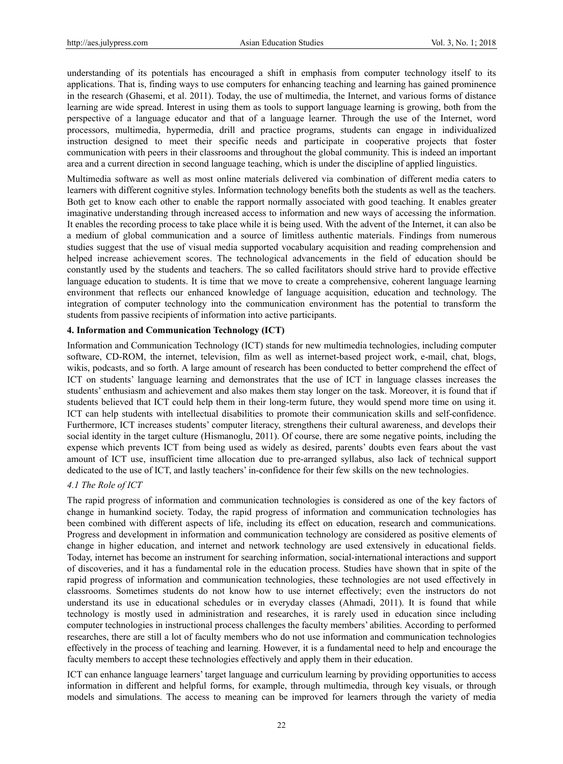understanding of its potentials has encouraged a shift in emphasis from computer technology itself to its applications. That is, finding ways to use computers for enhancing teaching and learning has gained prominence in the research (Ghasemi, et al. 2011). Today, the use of multimedia, the Internet, and various forms of distance learning are wide spread. Interest in using them as tools to support language learning is growing, both from the perspective of a language educator and that of a language learner. Through the use of the Internet, word processors, multimedia, hypermedia, drill and practice programs, students can engage in individualized instruction designed to meet their specific needs and participate in cooperative projects that foster communication with peers in their classrooms and throughout the global community. This is indeed an important area and a current direction in second language teaching, which is under the discipline of applied linguistics.

Multimedia software as well as most online materials delivered via combination of different media caters to learners with different cognitive styles. Information technology benefits both the students as well as the teachers. Both get to know each other to enable the rapport normally associated with good teaching. It enables greater imaginative understanding through increased access to information and new ways of accessing the information. It enables the recording process to take place while it is being used. With the advent of the Internet, it can also be a medium of global communication and a source of limitless authentic materials. Findings from numerous studies suggest that the use of visual media supported vocabulary acquisition and reading comprehension and helped increase achievement scores. The technological advancements in the field of education should be constantly used by the students and teachers. The so called facilitators should strive hard to provide effective language education to students. It is time that we move to create a comprehensive, coherent language learning environment that reflects our enhanced knowledge of language acquisition, education and technology. The integration of computer technology into the communication environment has the potential to transform the students from passive recipients of information into active participants.

## **4. Information and Communication Technology (ICT)**

Information and Communication Technology (ICT) stands for new multimedia technologies, including computer software, CD-ROM, the internet, television, film as well as internet-based project work, e-mail, chat, blogs, wikis, podcasts, and so forth. A large amount of research has been conducted to better comprehend the effect of ICT on students' language learning and demonstrates that the use of ICT in language classes increases the students' enthusiasm and achievement and also makes them stay longer on the task. Moreover, it is found that if students believed that ICT could help them in their long-term future, they would spend more time on using it. ICT can help students with intellectual disabilities to promote their communication skills and self-confidence. Furthermore, ICT increases students' computer literacy, strengthens their cultural awareness, and develops their social identity in the target culture (Hismanoglu, 2011). Of course, there are some negative points, including the expense which prevents ICT from being used as widely as desired, parents' doubts even fears about the vast amount of ICT use, insufficient time allocation due to pre-arranged syllabus, also lack of technical support dedicated to the use of ICT, and lastly teachers' in-confidence for their few skills on the new technologies.

#### *4.1 The Role of ICT*

The rapid progress of information and communication technologies is considered as one of the key factors of change in humankind society. Today, the rapid progress of information and communication technologies has been combined with different aspects of life, including its effect on education, research and communications. Progress and development in information and communication technology are considered as positive elements of change in higher education, and internet and network technology are used extensively in educational fields. Today, internet has become an instrument for searching information, social-international interactions and support of discoveries, and it has a fundamental role in the education process. Studies have shown that in spite of the rapid progress of information and communication technologies, these technologies are not used effectively in classrooms. Sometimes students do not know how to use internet effectively; even the instructors do not understand its use in educational schedules or in everyday classes (Ahmadi, 2011). It is found that while technology is mostly used in administration and researches, it is rarely used in education since including computer technologies in instructional process challenges the faculty members' abilities. According to performed researches, there are still a lot of faculty members who do not use information and communication technologies effectively in the process of teaching and learning. However, it is a fundamental need to help and encourage the faculty members to accept these technologies effectively and apply them in their education.

ICT can enhance language learners' target language and curriculum learning by providing opportunities to access information in different and helpful forms, for example, through multimedia, through key visuals, or through models and simulations. The access to meaning can be improved for learners through the variety of media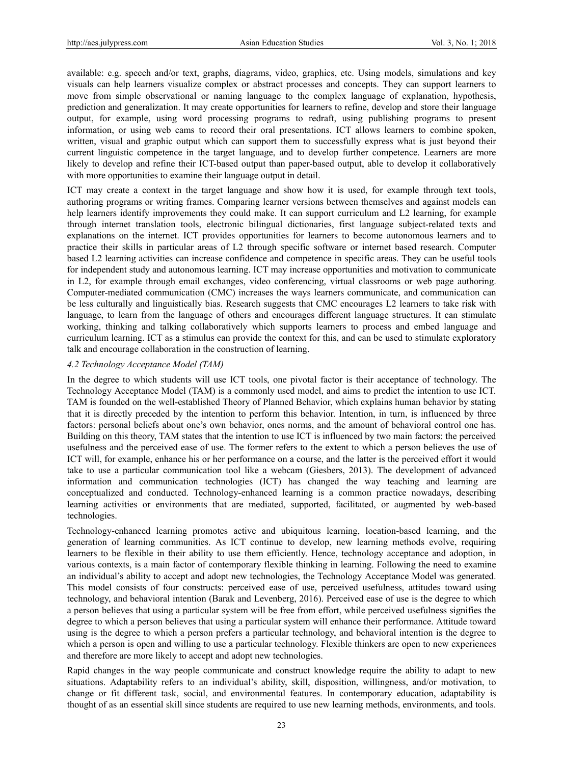available: e.g. speech and/or text, graphs, diagrams, video, graphics, etc. Using models, simulations and key visuals can help learners visualize complex or abstract processes and concepts. They can support learners to move from simple observational or naming language to the complex language of explanation, hypothesis, prediction and generalization. It may create opportunities for learners to refine, develop and store their language output, for example, using word processing programs to redraft, using publishing programs to present information, or using web cams to record their oral presentations. ICT allows learners to combine spoken, written, visual and graphic output which can support them to successfully express what is just beyond their current linguistic competence in the target language, and to develop further competence. Learners are more likely to develop and refine their ICT-based output than paper-based output, able to develop it collaboratively with more opportunities to examine their language output in detail.

ICT may create a context in the target language and show how it is used, for example through text tools, authoring programs or writing frames. Comparing learner versions between themselves and against models can help learners identify improvements they could make. It can support curriculum and L2 learning, for example through internet translation tools, electronic bilingual dictionaries, first language subject-related texts and explanations on the internet. ICT provides opportunities for learners to become autonomous learners and to practice their skills in particular areas of L2 through specific software or internet based research. Computer based L2 learning activities can increase confidence and competence in specific areas. They can be useful tools for independent study and autonomous learning. ICT may increase opportunities and motivation to communicate in L2, for example through email exchanges, video conferencing, virtual classrooms or web page authoring. Computer-mediated communication (CMC) increases the ways learners communicate, and communication can be less culturally and linguistically bias. Research suggests that CMC encourages L2 learners to take risk with language, to learn from the language of others and encourages different language structures. It can stimulate working, thinking and talking collaboratively which supports learners to process and embed language and curriculum learning. ICT as a stimulus can provide the context for this, and can be used to stimulate exploratory talk and encourage collaboration in the construction of learning.

#### *4.2 Technology Acceptance Model (TAM)*

In the degree to which students will use ICT tools, one pivotal factor is their acceptance of technology. The Technology Acceptance Model (TAM) is a commonly used model, and aims to predict the intention to use ICT. TAM is founded on the well-established Theory of Planned Behavior, which explains human behavior by stating that it is directly preceded by the intention to perform this behavior. Intention, in turn, is influenced by three factors: personal beliefs about one's own behavior, ones norms, and the amount of behavioral control one has. Building on this theory, TAM states that the intention to use ICT is influenced by two main factors: the perceived usefulness and the perceived ease of use. The former refers to the extent to which a person believes the use of ICT will, for example, enhance his or her performance on a course, and the latter is the perceived effort it would take to use a particular communication tool like a webcam (Giesbers, 2013). The development of advanced information and communication technologies (ICT) has changed the way teaching and learning are conceptualized and conducted. Technology-enhanced learning is a common practice nowadays, describing learning activities or environments that are mediated, supported, facilitated, or augmented by web-based technologies.

Technology-enhanced learning promotes active and ubiquitous learning, location-based learning, and the generation of learning communities. As ICT continue to develop, new learning methods evolve, requiring learners to be flexible in their ability to use them efficiently. Hence, technology acceptance and adoption, in various contexts, is a main factor of contemporary flexible thinking in learning. Following the need to examine an individual's ability to accept and adopt new technologies, the Technology Acceptance Model was generated. This model consists of four constructs: perceived ease of use, perceived usefulness, attitudes toward using technology, and behavioral intention (Barak and Levenberg, 2016). Perceived ease of use is the degree to which a person believes that using a particular system will be free from effort, while perceived usefulness signifies the degree to which a person believes that using a particular system will enhance their performance. Attitude toward using is the degree to which a person prefers a particular technology, and behavioral intention is the degree to which a person is open and willing to use a particular technology. Flexible thinkers are open to new experiences and therefore are more likely to accept and adopt new technologies.

Rapid changes in the way people communicate and construct knowledge require the ability to adapt to new situations. Adaptability refers to an individual's ability, skill, disposition, willingness, and/or motivation, to change or fit different task, social, and environmental features. In contemporary education, adaptability is thought of as an essential skill since students are required to use new learning methods, environments, and tools.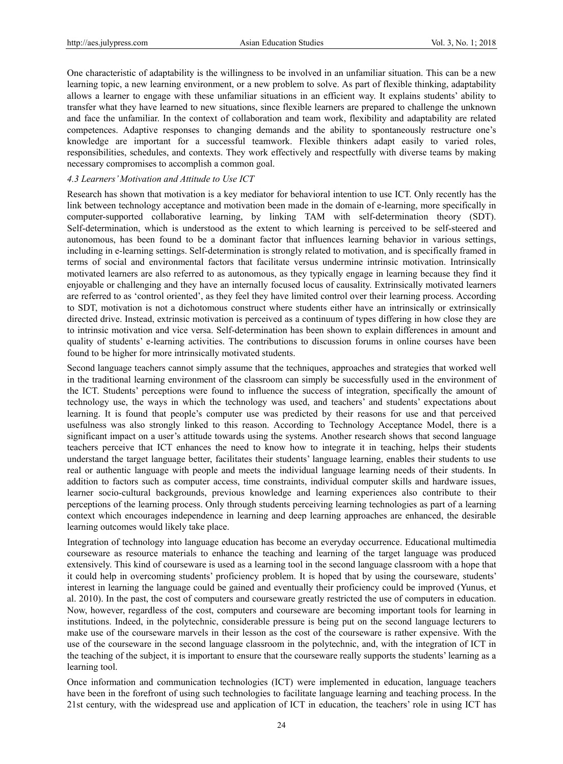One characteristic of adaptability is the willingness to be involved in an unfamiliar situation. This can be a new learning topic, a new learning environment, or a new problem to solve. As part of flexible thinking, adaptability allows a learner to engage with these unfamiliar situations in an efficient way. It explains students' ability to transfer what they have learned to new situations, since flexible learners are prepared to challenge the unknown and face the unfamiliar. In the context of collaboration and team work, flexibility and adaptability are related competences. Adaptive responses to changing demands and the ability to spontaneously restructure one's knowledge are important for a successful teamwork. Flexible thinkers adapt easily to varied roles, responsibilities, schedules, and contexts. They work effectively and respectfully with diverse teams by making necessary compromises to accomplish a common goal.

#### *4.3 Learners' Motivation and Attitude to Use ICT*

Research has shown that motivation is a key mediator for behavioral intention to use ICT. Only recently has the link between technology acceptance and motivation been made in the domain of e-learning, more specifically in computer-supported collaborative learning, by linking TAM with self-determination theory (SDT). Self-determination, which is understood as the extent to which learning is perceived to be self-steered and autonomous, has been found to be a dominant factor that influences learning behavior in various settings, including in e-learning settings. Self-determination is strongly related to motivation, and is specifically framed in terms of social and environmental factors that facilitate versus undermine intrinsic motivation. Intrinsically motivated learners are also referred to as autonomous, as they typically engage in learning because they find it enjoyable or challenging and they have an internally focused locus of causality. Extrinsically motivated learners are referred to as 'control oriented', as they feel they have limited control over their learning process. According to SDT, motivation is not a dichotomous construct where students either have an intrinsically or extrinsically directed drive. Instead, extrinsic motivation is perceived as a continuum of types differing in how close they are to intrinsic motivation and vice versa. Self-determination has been shown to explain differences in amount and quality of students' e-learning activities. The contributions to discussion forums in online courses have been found to be higher for more intrinsically motivated students.

Second language teachers cannot simply assume that the techniques, approaches and strategies that worked well in the traditional learning environment of the classroom can simply be successfully used in the environment of the ICT. Students' perceptions were found to influence the success of integration, specifically the amount of technology use, the ways in which the technology was used, and teachers' and students' expectations about learning. It is found that people's computer use was predicted by their reasons for use and that perceived usefulness was also strongly linked to this reason. According to Technology Acceptance Model, there is a significant impact on a user's attitude towards using the systems. Another research shows that second language teachers perceive that ICT enhances the need to know how to integrate it in teaching, helps their students understand the target language better, facilitates their students' language learning, enables their students to use real or authentic language with people and meets the individual language learning needs of their students. In addition to factors such as computer access, time constraints, individual computer skills and hardware issues, learner socio-cultural backgrounds, previous knowledge and learning experiences also contribute to their perceptions of the learning process. Only through students perceiving learning technologies as part of a learning context which encourages independence in learning and deep learning approaches are enhanced, the desirable learning outcomes would likely take place.

Integration of technology into language education has become an everyday occurrence. Educational multimedia courseware as resource materials to enhance the teaching and learning of the target language was produced extensively. This kind of courseware is used as a learning tool in the second language classroom with a hope that it could help in overcoming students' proficiency problem. It is hoped that by using the courseware, students' interest in learning the language could be gained and eventually their proficiency could be improved (Yunus, et al. 2010). In the past, the cost of computers and courseware greatly restricted the use of computers in education. Now, however, regardless of the cost, computers and courseware are becoming important tools for learning in institutions. Indeed, in the polytechnic, considerable pressure is being put on the second language lecturers to make use of the courseware marvels in their lesson as the cost of the courseware is rather expensive. With the use of the courseware in the second language classroom in the polytechnic, and, with the integration of ICT in the teaching of the subject, it is important to ensure that the courseware really supports the students' learning as a learning tool.

Once information and communication technologies (ICT) were implemented in education, language teachers have been in the forefront of using such technologies to facilitate language learning and teaching process. In the 21st century, with the widespread use and application of ICT in education, the teachers' role in using ICT has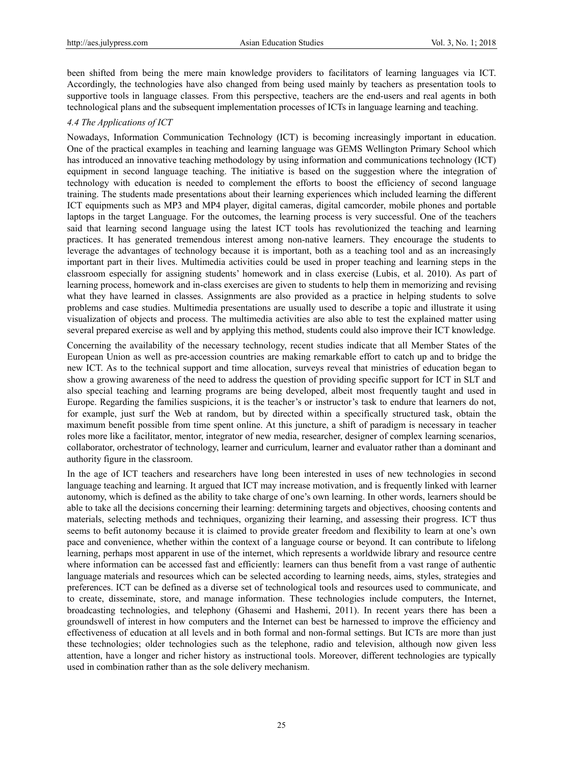been shifted from being the mere main knowledge providers to facilitators of learning languages via ICT. Accordingly, the technologies have also changed from being used mainly by teachers as presentation tools to supportive tools in language classes. From this perspective, teachers are the end-users and real agents in both technological plans and the subsequent implementation processes of ICTs in language learning and teaching.

#### *4.4 The Applications of ICT*

Nowadays, Information Communication Technology (ICT) is becoming increasingly important in education. One of the practical examples in teaching and learning language was GEMS Wellington Primary School which has introduced an innovative teaching methodology by using information and communications technology (ICT) equipment in second language teaching. The initiative is based on the suggestion where the integration of technology with education is needed to complement the efforts to boost the efficiency of second language training. The students made presentations about their learning experiences which included learning the different ICT equipments such as MP3 and MP4 player, digital cameras, digital camcorder, mobile phones and portable laptops in the target Language. For the outcomes, the learning process is very successful. One of the teachers said that learning second language using the latest ICT tools has revolutionized the teaching and learning practices. It has generated tremendous interest among non-native learners. They encourage the students to leverage the advantages of technology because it is important, both as a teaching tool and as an increasingly important part in their lives. Multimedia activities could be used in proper teaching and learning steps in the classroom especially for assigning students' homework and in class exercise (Lubis, et al. 2010). As part of learning process, homework and in-class exercises are given to students to help them in memorizing and revising what they have learned in classes. Assignments are also provided as a practice in helping students to solve problems and case studies. Multimedia presentations are usually used to describe a topic and illustrate it using visualization of objects and process. The multimedia activities are also able to test the explained matter using several prepared exercise as well and by applying this method, students could also improve their ICT knowledge.

Concerning the availability of the necessary technology, recent studies indicate that all Member States of the European Union as well as pre-accession countries are making remarkable effort to catch up and to bridge the new ICT. As to the technical support and time allocation, surveys reveal that ministries of education began to show a growing awareness of the need to address the question of providing specific support for ICT in SLT and also special teaching and learning programs are being developed, albeit most frequently taught and used in Europe. Regarding the families suspicions, it is the teacher's or instructor's task to endure that learners do not, for example, just surf the Web at random, but by directed within a specifically structured task, obtain the maximum benefit possible from time spent online. At this juncture, a shift of paradigm is necessary in teacher roles more like a facilitator, mentor, integrator of new media, researcher, designer of complex learning scenarios, collaborator, orchestrator of technology, learner and curriculum, learner and evaluator rather than a dominant and authority figure in the classroom.

In the age of ICT teachers and researchers have long been interested in uses of new technologies in second language teaching and learning. It argued that ICT may increase motivation, and is frequently linked with learner autonomy, which is defined as the ability to take charge of one's own learning. In other words, learners should be able to take all the decisions concerning their learning: determining targets and objectives, choosing contents and materials, selecting methods and techniques, organizing their learning, and assessing their progress. ICT thus seems to befit autonomy because it is claimed to provide greater freedom and flexibility to learn at one's own pace and convenience, whether within the context of a language course or beyond. It can contribute to lifelong learning, perhaps most apparent in use of the internet, which represents a worldwide library and resource centre where information can be accessed fast and efficiently: learners can thus benefit from a vast range of authentic language materials and resources which can be selected according to learning needs, aims, styles, strategies and preferences. ICT can be defined as a diverse set of technological tools and resources used to communicate, and to create, disseminate, store, and manage information. These technologies include computers, the Internet, broadcasting technologies, and telephony (Ghasemi and Hashemi, 2011). In recent years there has been a groundswell of interest in how computers and the Internet can best be harnessed to improve the efficiency and effectiveness of education at all levels and in both formal and non-formal settings. But ICTs are more than just these technologies; older technologies such as the telephone, radio and television, although now given less attention, have a longer and richer history as instructional tools. Moreover, different technologies are typically used in combination rather than as the sole delivery mechanism.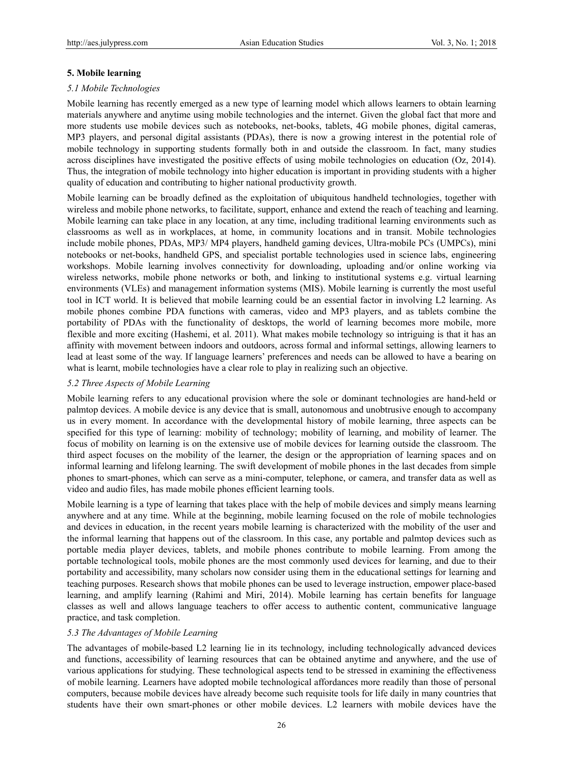# **5. Mobile learning**

# *5.1 Mobile Technologies*

Mobile learning has recently emerged as a new type of learning model which allows learners to obtain learning materials anywhere and anytime using mobile technologies and the internet. Given the global fact that more and more students use mobile devices such as notebooks, net-books, tablets, 4G mobile phones, digital cameras, MP3 players, and personal digital assistants (PDAs), there is now a growing interest in the potential role of mobile technology in supporting students formally both in and outside the classroom. In fact, many studies across disciplines have investigated the positive effects of using mobile technologies on education (Oz, 2014). Thus, the integration of mobile technology into higher education is important in providing students with a higher quality of education and contributing to higher national productivity growth.

Mobile learning can be broadly defined as the exploitation of ubiquitous handheld technologies, together with wireless and mobile phone networks, to facilitate, support, enhance and extend the reach of teaching and learning. Mobile learning can take place in any location, at any time, including traditional learning environments such as classrooms as well as in workplaces, at home, in community locations and in transit. Mobile technologies include mobile phones, PDAs, MP3/ MP4 players, handheld gaming devices, Ultra-mobile PCs (UMPCs), mini notebooks or net-books, handheld GPS, and specialist portable technologies used in science labs, engineering workshops. Mobile learning involves connectivity for downloading, uploading and/or online working via wireless networks, mobile phone networks or both, and linking to institutional systems e.g. virtual learning environments (VLEs) and management information systems (MIS). Mobile learning is currently the most useful tool in ICT world. It is believed that mobile learning could be an essential factor in involving L2 learning. As mobile phones combine PDA functions with cameras, video and MP3 players, and as tablets combine the portability of PDAs with the functionality of desktops, the world of learning becomes more mobile, more flexible and more exciting (Hashemi, et al. 2011). What makes mobile technology so intriguing is that it has an affinity with movement between indoors and outdoors, across formal and informal settings, allowing learners to lead at least some of the way. If language learners' preferences and needs can be allowed to have a bearing on what is learnt, mobile technologies have a clear role to play in realizing such an objective.

# *5.2 Three Aspects of Mobile Learning*

Mobile learning refers to any educational provision where the sole or dominant technologies are hand-held or palmtop devices. A mobile device is any device that is small, autonomous and unobtrusive enough to accompany us in every moment. In accordance with the developmental history of mobile learning, three aspects can be specified for this type of learning: mobility of technology; mobility of learning, and mobility of learner. The focus of mobility on learning is on the extensive use of mobile devices for learning outside the classroom. The third aspect focuses on the mobility of the learner, the design or the appropriation of learning spaces and on informal learning and lifelong learning. The swift development of mobile phones in the last decades from simple phones to smart-phones, which can serve as a mini-computer, telephone, or camera, and transfer data as well as video and audio files, has made mobile phones efficient learning tools.

Mobile learning is a type of learning that takes place with the help of mobile devices and simply means learning anywhere and at any time. While at the beginning, mobile learning focused on the role of mobile technologies and devices in education, in the recent years mobile learning is characterized with the mobility of the user and the informal learning that happens out of the classroom. In this case, any portable and palmtop devices such as portable media player devices, tablets, and mobile phones contribute to mobile learning. From among the portable technological tools, mobile phones are the most commonly used devices for learning, and due to their portability and accessibility, many scholars now consider using them in the educational settings for learning and teaching purposes. Research shows that mobile phones can be used to leverage instruction, empower place-based learning, and amplify learning (Rahimi and Miri, 2014). Mobile learning has certain benefits for language classes as well and allows language teachers to offer access to authentic content, communicative language practice, and task completion.

# *5.3 The Advantages of Mobile Learning*

The advantages of mobile-based L2 learning lie in its technology, including technologically advanced devices and functions, accessibility of learning resources that can be obtained anytime and anywhere, and the use of various applications for studying. These technological aspects tend to be stressed in examining the effectiveness of mobile learning. Learners have adopted mobile technological affordances more readily than those of personal computers, because mobile devices have already become such requisite tools for life daily in many countries that students have their own smart-phones or other mobile devices. L2 learners with mobile devices have the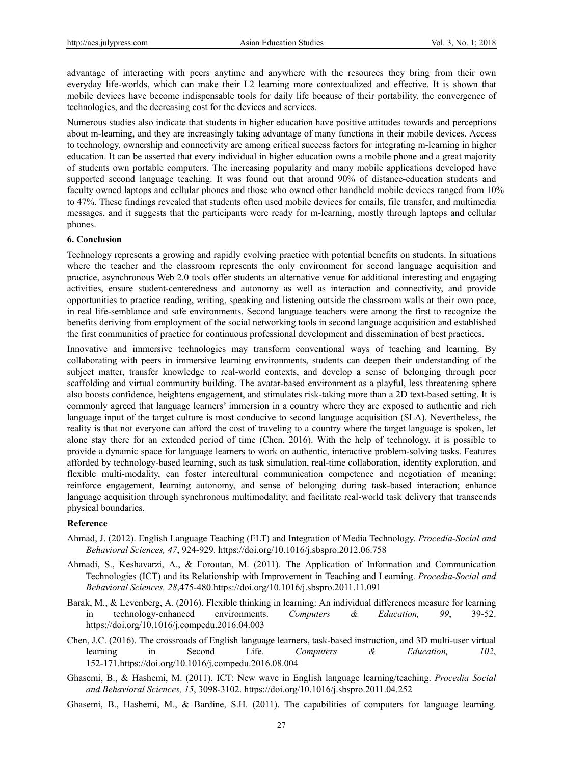advantage of interacting with peers anytime and anywhere with the resources they bring from their own everyday life-worlds, which can make their L2 learning more contextualized and effective. It is shown that mobile devices have become indispensable tools for daily life because of their portability, the convergence of technologies, and the decreasing cost for the devices and services.

Numerous studies also indicate that students in higher education have positive attitudes towards and perceptions about m-learning, and they are increasingly taking advantage of many functions in their mobile devices. Access to technology, ownership and connectivity are among critical success factors for integrating m-learning in higher education. It can be asserted that every individual in higher education owns a mobile phone and a great majority of students own portable computers. The increasing popularity and many mobile applications developed have supported second language teaching. It was found out that around 90% of distance-education students and faculty owned laptops and cellular phones and those who owned other handheld mobile devices ranged from 10% to 47%. These findings revealed that students often used mobile devices for emails, file transfer, and multimedia messages, and it suggests that the participants were ready for m-learning, mostly through laptops and cellular phones.

#### **6. Conclusion**

Technology represents a growing and rapidly evolving practice with potential benefits on students. In situations where the teacher and the classroom represents the only environment for second language acquisition and practice, asynchronous Web 2.0 tools offer students an alternative venue for additional interesting and engaging activities, ensure student-centeredness and autonomy as well as interaction and connectivity, and provide opportunities to practice reading, writing, speaking and listening outside the classroom walls at their own pace, in real life-semblance and safe environments. Second language teachers were among the first to recognize the benefits deriving from employment of the social networking tools in second language acquisition and established the first communities of practice for continuous professional development and dissemination of best practices.

Innovative and immersive technologies may transform conventional ways of teaching and learning. By collaborating with peers in immersive learning environments, students can deepen their understanding of the subject matter, transfer knowledge to real-world contexts, and develop a sense of belonging through peer scaffolding and virtual community building. The avatar-based environment as a playful, less threatening sphere also boosts confidence, heightens engagement, and stimulates risk-taking more than a 2D text-based setting. It is commonly agreed that language learners' immersion in a country where they are exposed to authentic and rich language input of the target culture is most conducive to second language acquisition (SLA). Nevertheless, the reality is that not everyone can afford the cost of traveling to a country where the target language is spoken, let alone stay there for an extended period of time (Chen, 2016). With the help of technology, it is possible to provide a dynamic space for language learners to work on authentic, interactive problem-solving tasks. Features afforded by technology-based learning, such as task simulation, real-time collaboration, identity exploration, and flexible multi-modality, can foster intercultural communication competence and negotiation of meaning; reinforce engagement, learning autonomy, and sense of belonging during task-based interaction; enhance language acquisition through synchronous multimodality; and facilitate real-world task delivery that transcends physical boundaries.

#### **Reference**

- Ahmad, J. (2012). English Language Teaching (ELT) and Integration of Media Technology. *Procedia-Social and Behavioral Sciences, 47*, 924-929. https://doi.org/10.1016/j.sbspro.2012.06.758
- Ahmadi, S., Keshavarzi, A., & Foroutan, M. (2011). The Application of Information and Communication Technologies (ICT) and its Relationship with Improvement in Teaching and Learning. *Procedia-Social and Behavioral Sciences, 28*,475-480.https://doi.org/10.1016/j.sbspro.2011.11.091
- Barak, M., & Levenberg, A. (2016). Flexible thinking in learning: An individual differences measure for learning in technology-enhanced environments. *Computers & Education, 99*, 39-52. https://doi.org/10.1016/j.compedu.2016.04.003
- Chen, J.C. (2016). The crossroads of English language learners, task-based instruction, and 3D multi-user virtual learning in Second Life. *Computers & Education, 102*, 152-171.https://doi.org/10.1016/j.compedu.2016.08.004
- Ghasemi, B., & Hashemi, M. (2011). ICT: New wave in English language learning/teaching. *Procedia Social and Behavioral Sciences, 15*, 3098-3102. https://doi.org/10.1016/j.sbspro.2011.04.252
- Ghasemi, B., Hashemi, M., & Bardine, S.H. (2011). The capabilities of computers for language learning.